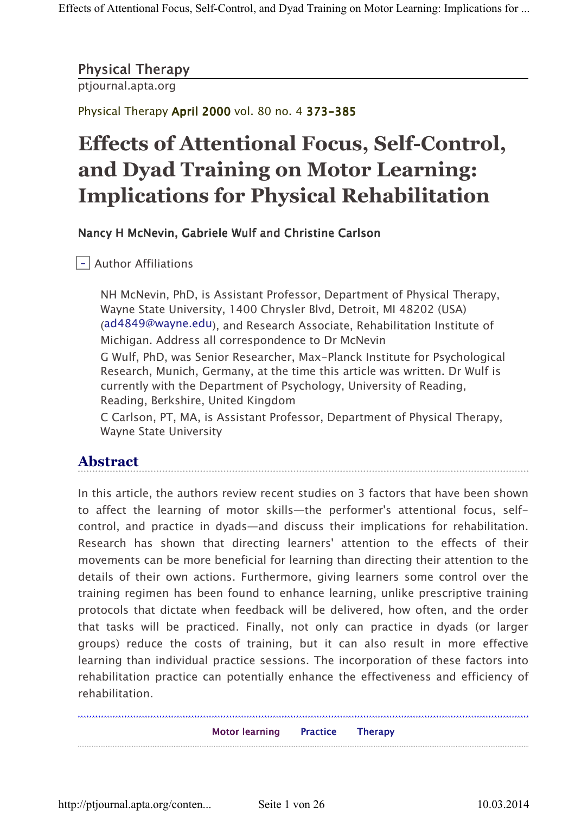## Physical Therapy

ptjournal.apta.org

Physical Therapy April 2000 vol. 80 no. 4 373-385

# Effects of Attentional Focus, Self-Control, and Dyad Training on Motor Learning: Implications for Physical Rehabilitation

## Nancy H McNevin, Gabriele Wulf and Christine Carlson

- Author Affiliations

NH McNevin, PhD, is Assistant Professor, Department of Physical Therapy, Wayne State University, 1400 Chrysler Blvd, Detroit, MI 48202 (USA) (ad4849@wayne.edu), and Research Associate, Rehabilitation Institute of Michigan. Address all correspondence to Dr McNevin

G Wulf, PhD, was Senior Researcher, Max-Planck Institute for Psychological Research, Munich, Germany, at the time this article was written. Dr Wulf is currently with the Department of Psychology, University of Reading, Reading, Berkshire, United Kingdom

C Carlson, PT, MA, is Assistant Professor, Department of Physical Therapy, Wayne State University

# Abstract

In this article, the authors review recent studies on 3 factors that have been shown to affect the learning of motor skills—the performer's attentional focus, selfcontrol, and practice in dyads—and discuss their implications for rehabilitation. Research has shown that directing learners' attention to the effects of their movements can be more beneficial for learning than directing their attention to the details of their own actions. Furthermore, giving learners some control over the training regimen has been found to enhance learning, unlike prescriptive training protocols that dictate when feedback will be delivered, how often, and the order that tasks will be practiced. Finally, not only can practice in dyads (or larger groups) reduce the costs of training, but it can also result in more effective learning than individual practice sessions. The incorporation of these factors into rehabilitation practice can potentially enhance the effectiveness and efficiency of rehabilitation.

Motor learning Practice Therapy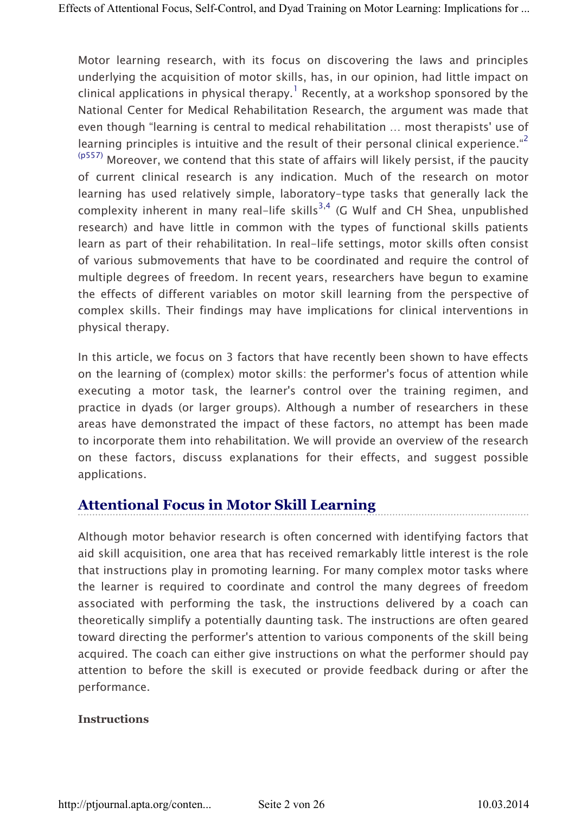Motor learning research, with its focus on discovering the laws and principles underlying the acquisition of motor skills, has, in our opinion, had little impact on clinical applications in physical therapy. $^1$  Recently, at a workshop sponsored by the National Center for Medical Rehabilitation Research, the argument was made that even though "learning is central to medical rehabilitation … most therapists' use of learning principles is intuitive and the result of their personal clinical experience."<sup>2</sup> (p557) Moreover, we contend that this state of affairs will likely persist, if the paucity of current clinical research is any indication. Much of the research on motor learning has used relatively simple, laboratory-type tasks that generally lack the complexity inherent in many real-life skills<sup>3,4</sup> (G Wulf and CH Shea, unpublished research) and have little in common with the types of functional skills patients learn as part of their rehabilitation. In real-life settings, motor skills often consist of various submovements that have to be coordinated and require the control of multiple degrees of freedom. In recent years, researchers have begun to examine the effects of different variables on motor skill learning from the perspective of complex skills. Their findings may have implications for clinical interventions in physical therapy.

In this article, we focus on 3 factors that have recently been shown to have effects on the learning of (complex) motor skills: the performer's focus of attention while executing a motor task, the learner's control over the training regimen, and practice in dyads (or larger groups). Although a number of researchers in these areas have demonstrated the impact of these factors, no attempt has been made to incorporate them into rehabilitation. We will provide an overview of the research on these factors, discuss explanations for their effects, and suggest possible applications.

# Attentional Focus in Motor Skill Learning

Although motor behavior research is often concerned with identifying factors that aid skill acquisition, one area that has received remarkably little interest is the role that instructions play in promoting learning. For many complex motor tasks where the learner is required to coordinate and control the many degrees of freedom associated with performing the task, the instructions delivered by a coach can theoretically simplify a potentially daunting task. The instructions are often geared toward directing the performer's attention to various components of the skill being acquired. The coach can either give instructions on what the performer should pay attention to before the skill is executed or provide feedback during or after the performance.

#### **Instructions**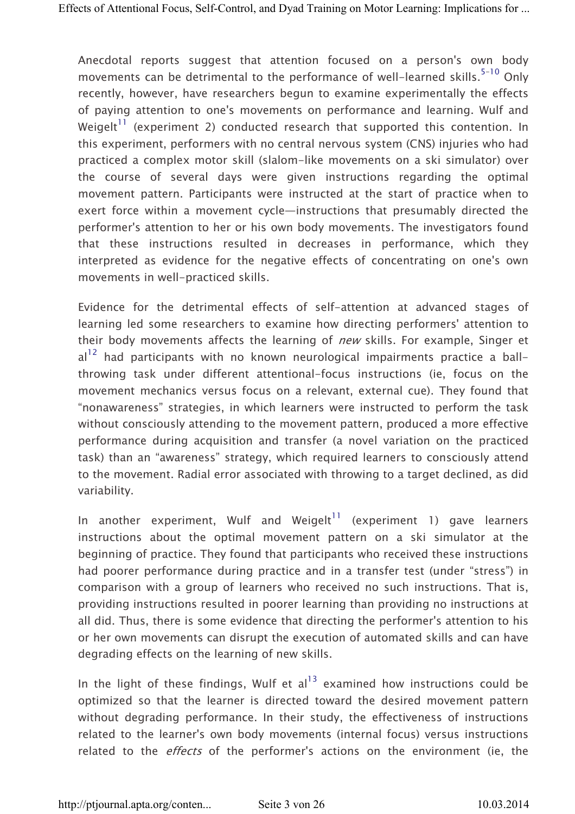Anecdotal reports suggest that attention focused on a person's own body movements can be detrimental to the performance of well-learned skills. $5-10$  Only recently, however, have researchers begun to examine experimentally the effects of paying attention to one's movements on performance and learning. Wulf and Weigelt<sup>11</sup> (experiment 2) conducted research that supported this contention. In this experiment, performers with no central nervous system (CNS) injuries who had practiced a complex motor skill (slalom-like movements on a ski simulator) over the course of several days were given instructions regarding the optimal movement pattern. Participants were instructed at the start of practice when to exert force within a movement cycle—instructions that presumably directed the performer's attention to her or his own body movements. The investigators found that these instructions resulted in decreases in performance, which they interpreted as evidence for the negative effects of concentrating on one's own movements in well-practiced skills.

Evidence for the detrimental effects of self-attention at advanced stages of learning led some researchers to examine how directing performers' attention to their body movements affects the learning of *new* skills. For example, Singer et  $al<sup>12</sup>$  had participants with no known neurological impairments practice a ballthrowing task under different attentional-focus instructions (ie, focus on the movement mechanics versus focus on a relevant, external cue). They found that "nonawareness" strategies, in which learners were instructed to perform the task without consciously attending to the movement pattern, produced a more effective performance during acquisition and transfer (a novel variation on the practiced task) than an "awareness" strategy, which required learners to consciously attend to the movement. Radial error associated with throwing to a target declined, as did variability.

In another experiment, Wulf and Weigelt<sup>11</sup> (experiment 1) gave learners instructions about the optimal movement pattern on a ski simulator at the beginning of practice. They found that participants who received these instructions had poorer performance during practice and in a transfer test (under "stress") in comparison with a group of learners who received no such instructions. That is, providing instructions resulted in poorer learning than providing no instructions at all did. Thus, there is some evidence that directing the performer's attention to his or her own movements can disrupt the execution of automated skills and can have degrading effects on the learning of new skills.

In the light of these findings, Wulf et  $al<sup>13</sup>$  examined how instructions could be optimized so that the learner is directed toward the desired movement pattern without degrading performance. In their study, the effectiveness of instructions related to the learner's own body movements (internal focus) versus instructions related to the *effects* of the performer's actions on the environment (ie, the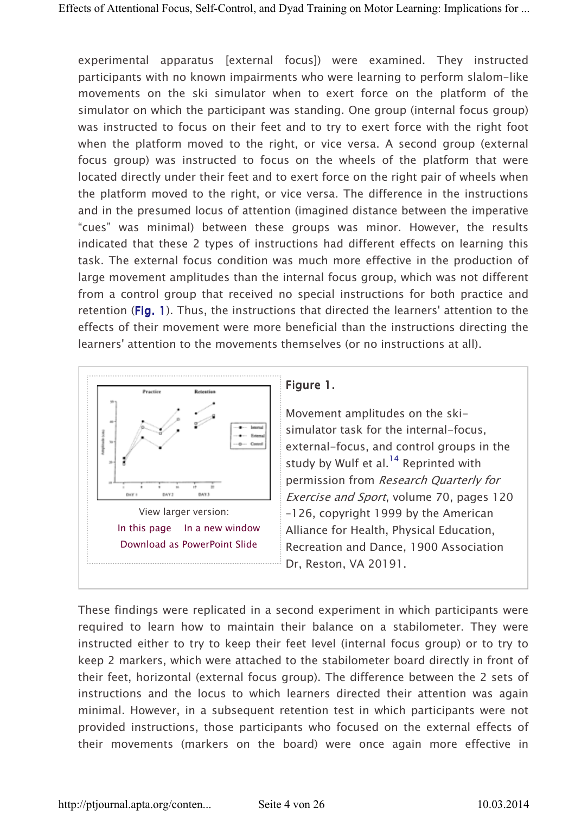experimental apparatus [external focus]) were examined. They instructed participants with no known impairments who were learning to perform slalom-like movements on the ski simulator when to exert force on the platform of the simulator on which the participant was standing. One group (internal focus group) was instructed to focus on their feet and to try to exert force with the right foot when the platform moved to the right, or vice versa. A second group (external focus group) was instructed to focus on the wheels of the platform that were located directly under their feet and to exert force on the right pair of wheels when the platform moved to the right, or vice versa. The difference in the instructions and in the presumed locus of attention (imagined distance between the imperative "cues" was minimal) between these groups was minor. However, the results indicated that these 2 types of instructions had different effects on learning this task. The external focus condition was much more effective in the production of large movement amplitudes than the internal focus group, which was not different from a control group that received no special instructions for both practice and retention (Fig. 1). Thus, the instructions that directed the learners' attention to the effects of their movement were more beneficial than the instructions directing the learners' attention to the movements themselves (or no instructions at all).



## Figure 1.

Movement amplitudes on the skisimulator task for the internal-focus, external-focus, and control groups in the study by Wulf et al. $^{14}$  Reprinted with permission from Research Quarterly for Exercise and Sport, volume 70, pages 120 –126, copyright 1999 by the American Alliance for Health, Physical Education, Recreation and Dance, 1900 Association Dr, Reston, VA 20191.

These findings were replicated in a second experiment in which participants were required to learn how to maintain their balance on a stabilometer. They were instructed either to try to keep their feet level (internal focus group) or to try to keep 2 markers, which were attached to the stabilometer board directly in front of their feet, horizontal (external focus group). The difference between the 2 sets of instructions and the locus to which learners directed their attention was again minimal. However, in a subsequent retention test in which participants were not provided instructions, those participants who focused on the external effects of their movements (markers on the board) were once again more effective in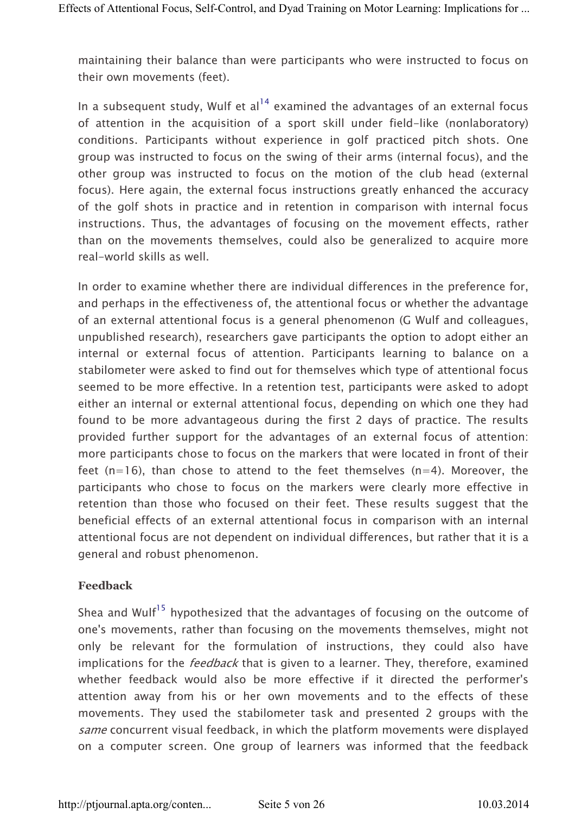maintaining their balance than were participants who were instructed to focus on their own movements (feet).

In a subsequent study, Wulf et  $al<sup>14</sup>$  examined the advantages of an external focus of attention in the acquisition of a sport skill under field-like (nonlaboratory) conditions. Participants without experience in golf practiced pitch shots. One group was instructed to focus on the swing of their arms (internal focus), and the other group was instructed to focus on the motion of the club head (external focus). Here again, the external focus instructions greatly enhanced the accuracy of the golf shots in practice and in retention in comparison with internal focus instructions. Thus, the advantages of focusing on the movement effects, rather than on the movements themselves, could also be generalized to acquire more real-world skills as well.

In order to examine whether there are individual differences in the preference for, and perhaps in the effectiveness of, the attentional focus or whether the advantage of an external attentional focus is a general phenomenon (G Wulf and colleagues, unpublished research), researchers gave participants the option to adopt either an internal or external focus of attention. Participants learning to balance on a stabilometer were asked to find out for themselves which type of attentional focus seemed to be more effective. In a retention test, participants were asked to adopt either an internal or external attentional focus, depending on which one they had found to be more advantageous during the first 2 days of practice. The results provided further support for the advantages of an external focus of attention: more participants chose to focus on the markers that were located in front of their feet  $(n=16)$ , than chose to attend to the feet themselves  $(n=4)$ . Moreover, the participants who chose to focus on the markers were clearly more effective in retention than those who focused on their feet. These results suggest that the beneficial effects of an external attentional focus in comparison with an internal attentional focus are not dependent on individual differences, but rather that it is a general and robust phenomenon.

#### Feedback

Shea and Wulf<sup>15</sup> hypothesized that the advantages of focusing on the outcome of one's movements, rather than focusing on the movements themselves, might not only be relevant for the formulation of instructions, they could also have implications for the *feedback* that is given to a learner. They, therefore, examined whether feedback would also be more effective if it directed the performer's attention away from his or her own movements and to the effects of these movements. They used the stabilometer task and presented 2 groups with the same concurrent visual feedback, in which the platform movements were displayed on a computer screen. One group of learners was informed that the feedback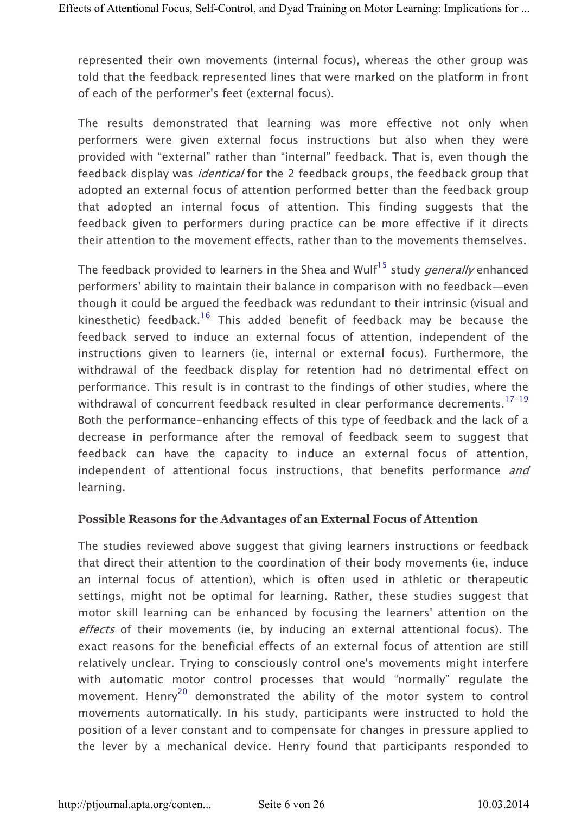represented their own movements (internal focus), whereas the other group was told that the feedback represented lines that were marked on the platform in front of each of the performer's feet (external focus).

The results demonstrated that learning was more effective not only when performers were given external focus instructions but also when they were provided with "external" rather than "internal" feedback. That is, even though the feedback display was *identical* for the 2 feedback groups, the feedback group that adopted an external focus of attention performed better than the feedback group that adopted an internal focus of attention. This finding suggests that the feedback given to performers during practice can be more effective if it directs their attention to the movement effects, rather than to the movements themselves.

The feedback provided to learners in the Shea and Wulf<sup>15</sup> study *generally* enhanced performers' ability to maintain their balance in comparison with no feedback—even though it could be argued the feedback was redundant to their intrinsic (visual and kinesthetic) feedback.<sup>16</sup> This added benefit of feedback may be because the feedback served to induce an external focus of attention, independent of the instructions given to learners (ie, internal or external focus). Furthermore, the withdrawal of the feedback display for retention had no detrimental effect on performance. This result is in contrast to the findings of other studies, where the withdrawal of concurrent feedback resulted in clear performance decrements.<sup>17-19</sup> Both the performance-enhancing effects of this type of feedback and the lack of a decrease in performance after the removal of feedback seem to suggest that feedback can have the capacity to induce an external focus of attention, independent of attentional focus instructions, that benefits performance and learning.

#### Possible Reasons for the Advantages of an External Focus of Attention

The studies reviewed above suggest that giving learners instructions or feedback that direct their attention to the coordination of their body movements (ie, induce an internal focus of attention), which is often used in athletic or therapeutic settings, might not be optimal for learning. Rather, these studies suggest that motor skill learning can be enhanced by focusing the learners' attention on the effects of their movements (ie, by inducing an external attentional focus). The exact reasons for the beneficial effects of an external focus of attention are still relatively unclear. Trying to consciously control one's movements might interfere with automatic motor control processes that would "normally" regulate the movement. Henry<sup>20</sup> demonstrated the ability of the motor system to control movements automatically. In his study, participants were instructed to hold the position of a lever constant and to compensate for changes in pressure applied to the lever by a mechanical device. Henry found that participants responded to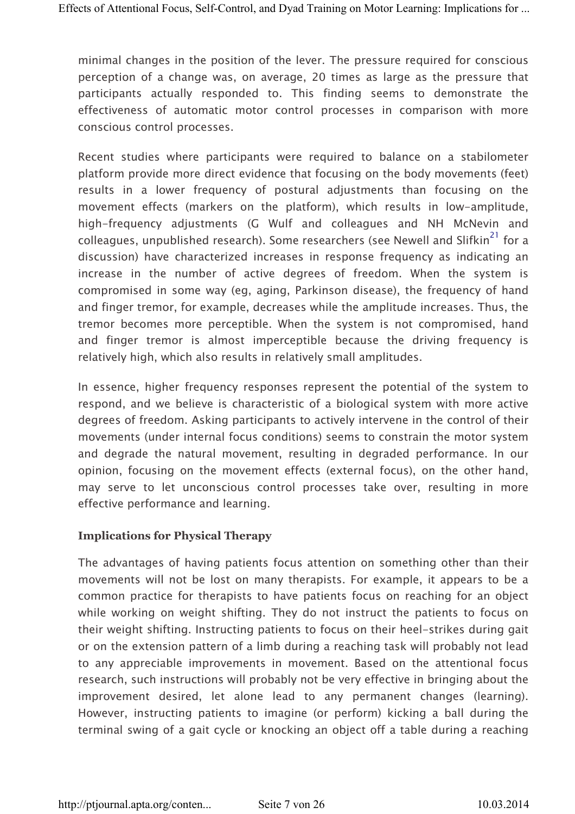minimal changes in the position of the lever. The pressure required for conscious perception of a change was, on average, 20 times as large as the pressure that participants actually responded to. This finding seems to demonstrate the effectiveness of automatic motor control processes in comparison with more conscious control processes.

Recent studies where participants were required to balance on a stabilometer platform provide more direct evidence that focusing on the body movements (feet) results in a lower frequency of postural adjustments than focusing on the movement effects (markers on the platform), which results in low-amplitude, high-frequency adjustments (G Wulf and colleagues and NH McNevin and colleagues, unpublished research). Some researchers (see Newell and Slifkin<sup>21</sup> for a discussion) have characterized increases in response frequency as indicating an increase in the number of active degrees of freedom. When the system is compromised in some way (eg, aging, Parkinson disease), the frequency of hand and finger tremor, for example, decreases while the amplitude increases. Thus, the tremor becomes more perceptible. When the system is not compromised, hand and finger tremor is almost imperceptible because the driving frequency is relatively high, which also results in relatively small amplitudes.

In essence, higher frequency responses represent the potential of the system to respond, and we believe is characteristic of a biological system with more active degrees of freedom. Asking participants to actively intervene in the control of their movements (under internal focus conditions) seems to constrain the motor system and degrade the natural movement, resulting in degraded performance. In our opinion, focusing on the movement effects (external focus), on the other hand, may serve to let unconscious control processes take over, resulting in more effective performance and learning.

#### Implications for Physical Therapy

The advantages of having patients focus attention on something other than their movements will not be lost on many therapists. For example, it appears to be a common practice for therapists to have patients focus on reaching for an object while working on weight shifting. They do not instruct the patients to focus on their weight shifting. Instructing patients to focus on their heel-strikes during gait or on the extension pattern of a limb during a reaching task will probably not lead to any appreciable improvements in movement. Based on the attentional focus research, such instructions will probably not be very effective in bringing about the improvement desired, let alone lead to any permanent changes (learning). However, instructing patients to imagine (or perform) kicking a ball during the terminal swing of a gait cycle or knocking an object off a table during a reaching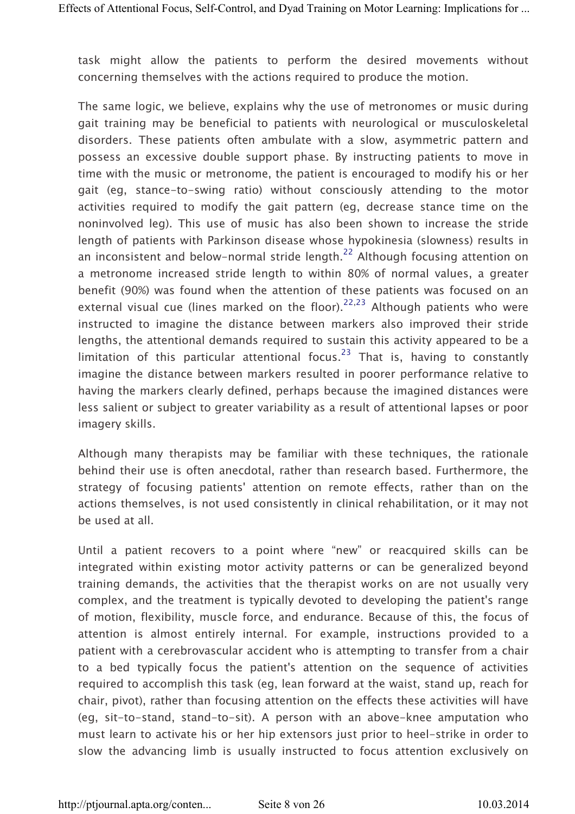task might allow the patients to perform the desired movements without concerning themselves with the actions required to produce the motion.

The same logic, we believe, explains why the use of metronomes or music during gait training may be beneficial to patients with neurological or musculoskeletal disorders. These patients often ambulate with a slow, asymmetric pattern and possess an excessive double support phase. By instructing patients to move in time with the music or metronome, the patient is encouraged to modify his or her gait (eg, stance-to-swing ratio) without consciously attending to the motor activities required to modify the gait pattern (eg, decrease stance time on the noninvolved leg). This use of music has also been shown to increase the stride length of patients with Parkinson disease whose hypokinesia (slowness) results in an inconsistent and below-normal stride length.<sup>22</sup> Although focusing attention on a metronome increased stride length to within 80% of normal values, a greater benefit (90%) was found when the attention of these patients was focused on an external visual cue (lines marked on the floor).<sup>22,23</sup> Although patients who were instructed to imagine the distance between markers also improved their stride lengths, the attentional demands required to sustain this activity appeared to be a limitation of this particular attentional focus.<sup>23</sup> That is, having to constantly imagine the distance between markers resulted in poorer performance relative to having the markers clearly defined, perhaps because the imagined distances were less salient or subject to greater variability as a result of attentional lapses or poor imagery skills.

Although many therapists may be familiar with these techniques, the rationale behind their use is often anecdotal, rather than research based. Furthermore, the strategy of focusing patients' attention on remote effects, rather than on the actions themselves, is not used consistently in clinical rehabilitation, or it may not be used at all.

Until a patient recovers to a point where "new" or reacquired skills can be integrated within existing motor activity patterns or can be generalized beyond training demands, the activities that the therapist works on are not usually very complex, and the treatment is typically devoted to developing the patient's range of motion, flexibility, muscle force, and endurance. Because of this, the focus of attention is almost entirely internal. For example, instructions provided to a patient with a cerebrovascular accident who is attempting to transfer from a chair to a bed typically focus the patient's attention on the sequence of activities required to accomplish this task (eg, lean forward at the waist, stand up, reach for chair, pivot), rather than focusing attention on the effects these activities will have (eg, sit-to-stand, stand-to-sit). A person with an above-knee amputation who must learn to activate his or her hip extensors just prior to heel-strike in order to slow the advancing limb is usually instructed to focus attention exclusively on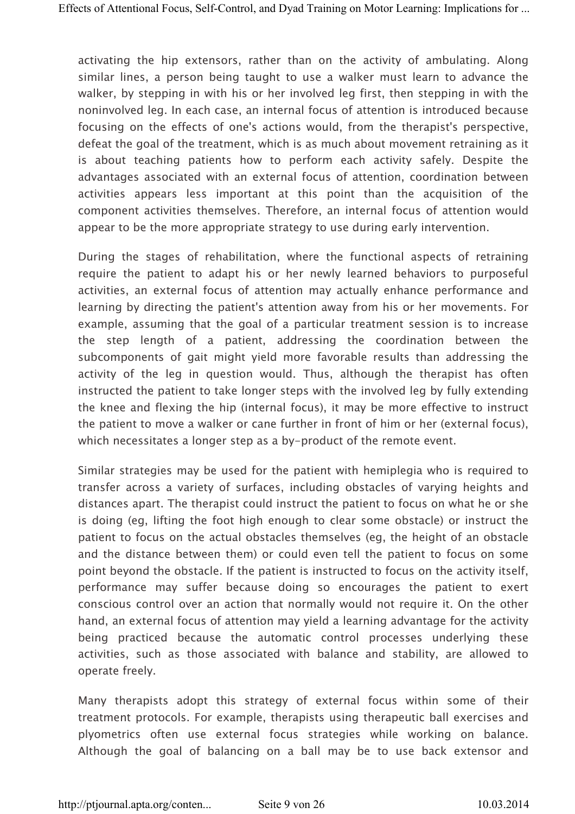activating the hip extensors, rather than on the activity of ambulating. Along similar lines, a person being taught to use a walker must learn to advance the walker, by stepping in with his or her involved leg first, then stepping in with the noninvolved leg. In each case, an internal focus of attention is introduced because focusing on the effects of one's actions would, from the therapist's perspective, defeat the goal of the treatment, which is as much about movement retraining as it is about teaching patients how to perform each activity safely. Despite the advantages associated with an external focus of attention, coordination between activities appears less important at this point than the acquisition of the component activities themselves. Therefore, an internal focus of attention would appear to be the more appropriate strategy to use during early intervention.

During the stages of rehabilitation, where the functional aspects of retraining require the patient to adapt his or her newly learned behaviors to purposeful activities, an external focus of attention may actually enhance performance and learning by directing the patient's attention away from his or her movements. For example, assuming that the goal of a particular treatment session is to increase the step length of a patient, addressing the coordination between the subcomponents of gait might yield more favorable results than addressing the activity of the leg in question would. Thus, although the therapist has often instructed the patient to take longer steps with the involved leg by fully extending the knee and flexing the hip (internal focus), it may be more effective to instruct the patient to move a walker or cane further in front of him or her (external focus), which necessitates a longer step as a by-product of the remote event.

Similar strategies may be used for the patient with hemiplegia who is required to transfer across a variety of surfaces, including obstacles of varying heights and distances apart. The therapist could instruct the patient to focus on what he or she is doing (eg, lifting the foot high enough to clear some obstacle) or instruct the patient to focus on the actual obstacles themselves (eg, the height of an obstacle and the distance between them) or could even tell the patient to focus on some point beyond the obstacle. If the patient is instructed to focus on the activity itself, performance may suffer because doing so encourages the patient to exert conscious control over an action that normally would not require it. On the other hand, an external focus of attention may yield a learning advantage for the activity being practiced because the automatic control processes underlying these activities, such as those associated with balance and stability, are allowed to operate freely.

Many therapists adopt this strategy of external focus within some of their treatment protocols. For example, therapists using therapeutic ball exercises and plyometrics often use external focus strategies while working on balance. Although the goal of balancing on a ball may be to use back extensor and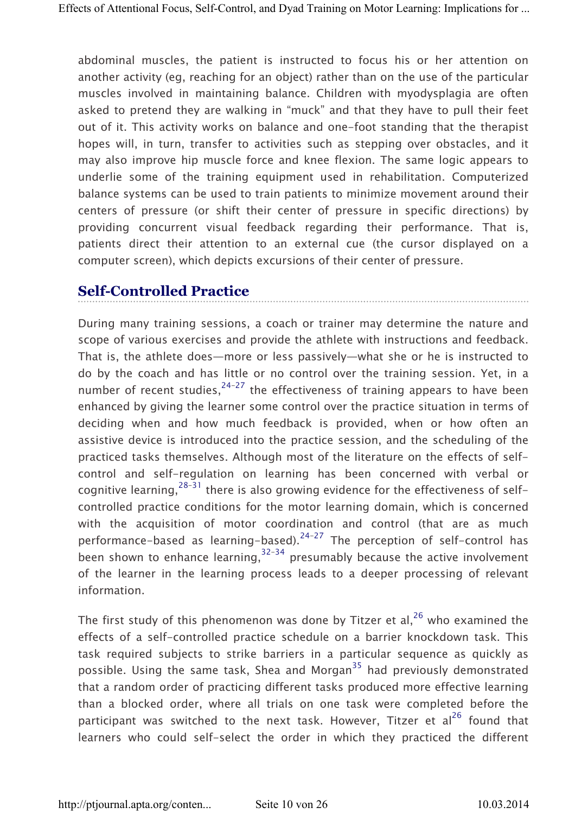abdominal muscles, the patient is instructed to focus his or her attention on another activity (eg, reaching for an object) rather than on the use of the particular muscles involved in maintaining balance. Children with myodysplagia are often asked to pretend they are walking in "muck" and that they have to pull their feet out of it. This activity works on balance and one-foot standing that the therapist hopes will, in turn, transfer to activities such as stepping over obstacles, and it may also improve hip muscle force and knee flexion. The same logic appears to underlie some of the training equipment used in rehabilitation. Computerized balance systems can be used to train patients to minimize movement around their centers of pressure (or shift their center of pressure in specific directions) by providing concurrent visual feedback regarding their performance. That is, patients direct their attention to an external cue (the cursor displayed on a computer screen), which depicts excursions of their center of pressure.

# Self-Controlled Practice

During many training sessions, a coach or trainer may determine the nature and scope of various exercises and provide the athlete with instructions and feedback. That is, the athlete does—more or less passively—what she or he is instructed to do by the coach and has little or no control over the training session. Yet, in a number of recent studies,  $24-27$  the effectiveness of training appears to have been enhanced by giving the learner some control over the practice situation in terms of deciding when and how much feedback is provided, when or how often an assistive device is introduced into the practice session, and the scheduling of the practiced tasks themselves. Although most of the literature on the effects of selfcontrol and self-regulation on learning has been concerned with verbal or cognitive learning,  $28-31$  there is also growing evidence for the effectiveness of selfcontrolled practice conditions for the motor learning domain, which is concerned with the acquisition of motor coordination and control (that are as much performance-based as learning-based).<sup>24-27</sup> The perception of self-control has been shown to enhance learning,  $32-34$  presumably because the active involvement of the learner in the learning process leads to a deeper processing of relevant information.

The first study of this phenomenon was done by Titzer et al.<sup>26</sup> who examined the effects of a self-controlled practice schedule on a barrier knockdown task. This task required subjects to strike barriers in a particular sequence as quickly as possible. Using the same task, Shea and Morgan<sup>35</sup> had previously demonstrated that a random order of practicing different tasks produced more effective learning than a blocked order, where all trials on one task were completed before the participant was switched to the next task. However, Titzer et al<sup>26</sup> found that learners who could self-select the order in which they practiced the different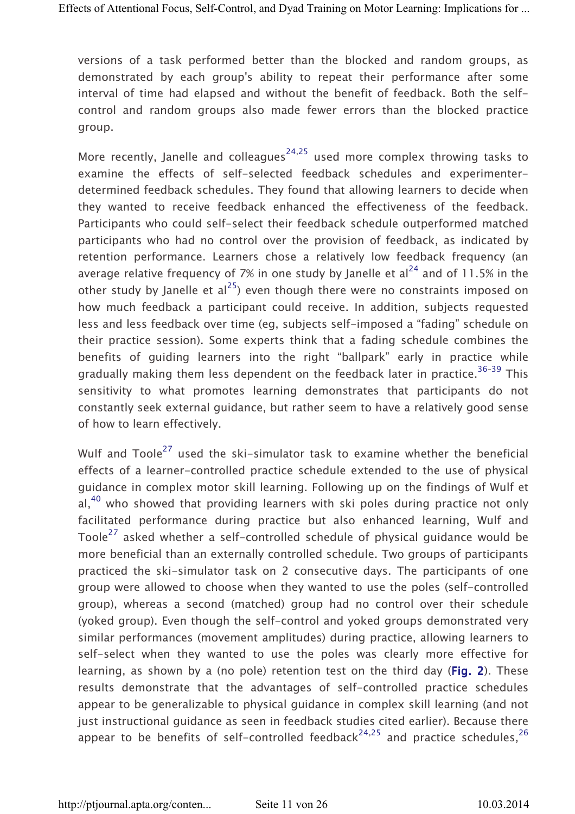versions of a task performed better than the blocked and random groups, as demonstrated by each group's ability to repeat their performance after some interval of time had elapsed and without the benefit of feedback. Both the selfcontrol and random groups also made fewer errors than the blocked practice group.

More recently, Janelle and colleagues<sup>24,25</sup> used more complex throwing tasks to examine the effects of self-selected feedback schedules and experimenterdetermined feedback schedules. They found that allowing learners to decide when they wanted to receive feedback enhanced the effectiveness of the feedback. Participants who could self-select their feedback schedule outperformed matched participants who had no control over the provision of feedback, as indicated by retention performance. Learners chose a relatively low feedback frequency (an average relative frequency of 7% in one study by Janelle et  $al^{24}$  and of 11.5% in the other study by Janelle et al<sup>25</sup>) even though there were no constraints imposed on how much feedback a participant could receive. In addition, subjects requested less and less feedback over time (eg, subjects self-imposed a "fading" schedule on their practice session). Some experts think that a fading schedule combines the benefits of guiding learners into the right "ballpark" early in practice while gradually making them less dependent on the feedback later in practice.<sup>36-39</sup> This sensitivity to what promotes learning demonstrates that participants do not constantly seek external guidance, but rather seem to have a relatively good sense of how to learn effectively.

Wulf and Toole<sup>27</sup> used the ski-simulator task to examine whether the beneficial effects of a learner-controlled practice schedule extended to the use of physical guidance in complex motor skill learning. Following up on the findings of Wulf et  $al<sup>40</sup>$  who showed that providing learners with ski poles during practice not only facilitated performance during practice but also enhanced learning, Wulf and Toole<sup>27</sup> asked whether a self-controlled schedule of physical guidance would be more beneficial than an externally controlled schedule. Two groups of participants practiced the ski-simulator task on 2 consecutive days. The participants of one group were allowed to choose when they wanted to use the poles (self-controlled group), whereas a second (matched) group had no control over their schedule (yoked group). Even though the self-control and yoked groups demonstrated very similar performances (movement amplitudes) during practice, allowing learners to self-select when they wanted to use the poles was clearly more effective for learning, as shown by a (no pole) retention test on the third day (Fig. 2). These results demonstrate that the advantages of self-controlled practice schedules appear to be generalizable to physical guidance in complex skill learning (and not just instructional guidance as seen in feedback studies cited earlier). Because there appear to be benefits of self-controlled feedback<sup>24,25</sup> and practice schedules,<sup>26</sup>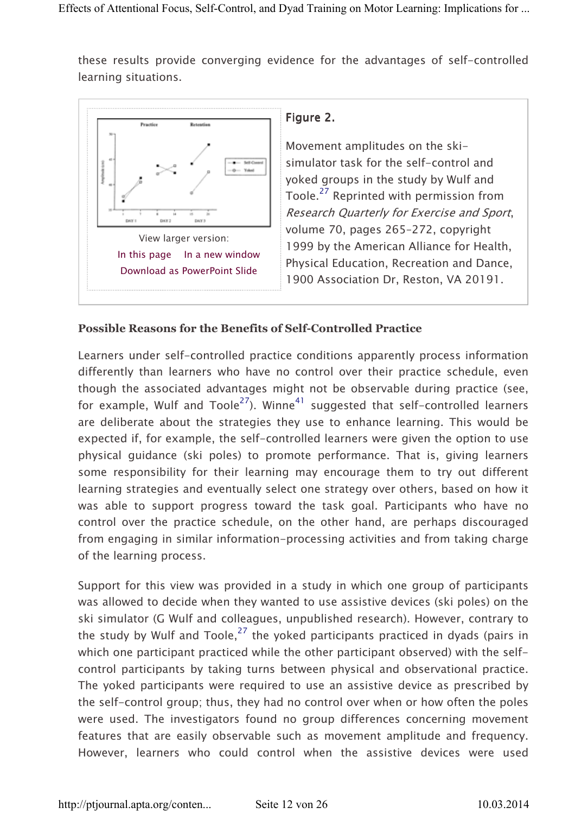these results provide converging evidence for the advantages of self-controlled learning situations.



### Figure 2.

Movement amplitudes on the skisimulator task for the self-control and yoked groups in the study by Wulf and Toole.<sup>27</sup> Reprinted with permission from Research Quarterly for Exercise and Sport, volume 70, pages 265–272, copyright 1999 by the American Alliance for Health, Physical Education, Recreation and Dance, 1900 Association Dr, Reston, VA 20191.

#### Possible Reasons for the Benefits of Self-Controlled Practice

Learners under self-controlled practice conditions apparently process information differently than learners who have no control over their practice schedule, even though the associated advantages might not be observable during practice (see, for example, Wulf and Toole<sup>27</sup>). Winne<sup>41</sup> suggested that self-controlled learners are deliberate about the strategies they use to enhance learning. This would be expected if, for example, the self-controlled learners were given the option to use physical guidance (ski poles) to promote performance. That is, giving learners some responsibility for their learning may encourage them to try out different learning strategies and eventually select one strategy over others, based on how it was able to support progress toward the task goal. Participants who have no control over the practice schedule, on the other hand, are perhaps discouraged from engaging in similar information-processing activities and from taking charge of the learning process.

Support for this view was provided in a study in which one group of participants was allowed to decide when they wanted to use assistive devices (ski poles) on the ski simulator (G Wulf and colleagues, unpublished research). However, contrary to the study by Wulf and Toole,  $27$  the yoked participants practiced in dyads (pairs in which one participant practiced while the other participant observed) with the selfcontrol participants by taking turns between physical and observational practice. The yoked participants were required to use an assistive device as prescribed by the self-control group; thus, they had no control over when or how often the poles were used. The investigators found no group differences concerning movement features that are easily observable such as movement amplitude and frequency. However, learners who could control when the assistive devices were used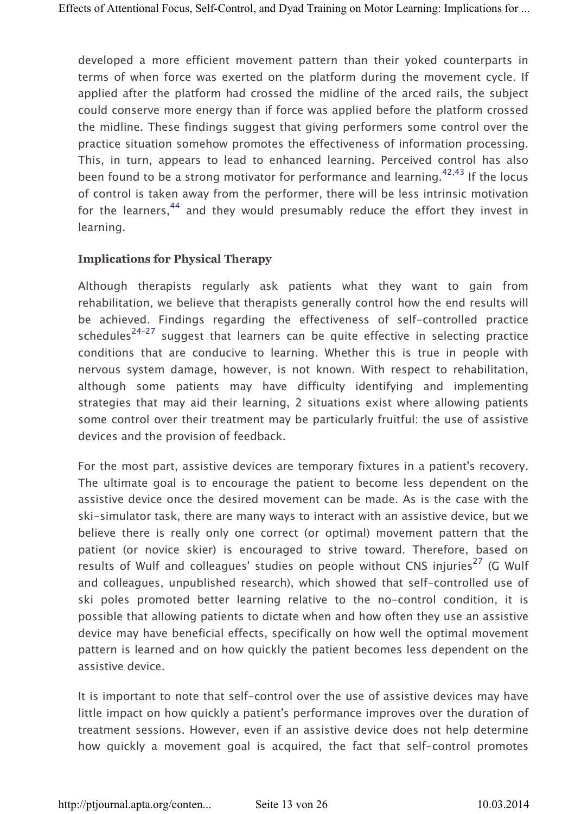developed a more efficient movement pattern than their yoked counterparts in terms of when force was exerted on the platform during the movement cycle. If applied after the platform had crossed the midline of the arced rails, the subject could conserve more energy than if force was applied before the platform crossed the midline. These findings suggest that giving performers some control over the practice situation somehow promotes the effectiveness of information processing. This, in turn, appears to lead to enhanced learning. Perceived control has also been found to be a strong motivator for performance and learning.<sup>42,43</sup> If the locus of control is taken away from the performer, there will be less intrinsic motivation for the learners,  $44$  and they would presumably reduce the effort they invest in learning.

#### Implications for Physical Therapy

Although therapists regularly ask patients what they want to gain from rehabilitation, we believe that therapists generally control how the end results will be achieved. Findings regarding the effectiveness of self-controlled practice schedules<sup>24–27</sup> suggest that learners can be quite effective in selecting practice conditions that are conducive to learning. Whether this is true in people with nervous system damage, however, is not known. With respect to rehabilitation, although some patients may have difficulty identifying and implementing strategies that may aid their learning, 2 situations exist where allowing patients some control over their treatment may be particularly fruitful: the use of assistive devices and the provision of feedback.

For the most part, assistive devices are temporary fixtures in a patient's recovery. The ultimate goal is to encourage the patient to become less dependent on the assistive device once the desired movement can be made. As is the case with the ski-simulator task, there are many ways to interact with an assistive device, but we believe there is really only one correct (or optimal) movement pattern that the patient (or novice skier) is encouraged to strive toward. Therefore, based on results of Wulf and colleagues' studies on people without CNS injuries<sup>27</sup> (G Wulf and colleagues, unpublished research), which showed that self-controlled use of ski poles promoted better learning relative to the no-control condition, it is possible that allowing patients to dictate when and how often they use an assistive device may have beneficial effects, specifically on how well the optimal movement pattern is learned and on how quickly the patient becomes less dependent on the assistive device.

It is important to note that self-control over the use of assistive devices may have little impact on how quickly a patient's performance improves over the duration of treatment sessions. However, even if an assistive device does not help determine how quickly a movement goal is acquired, the fact that self-control promotes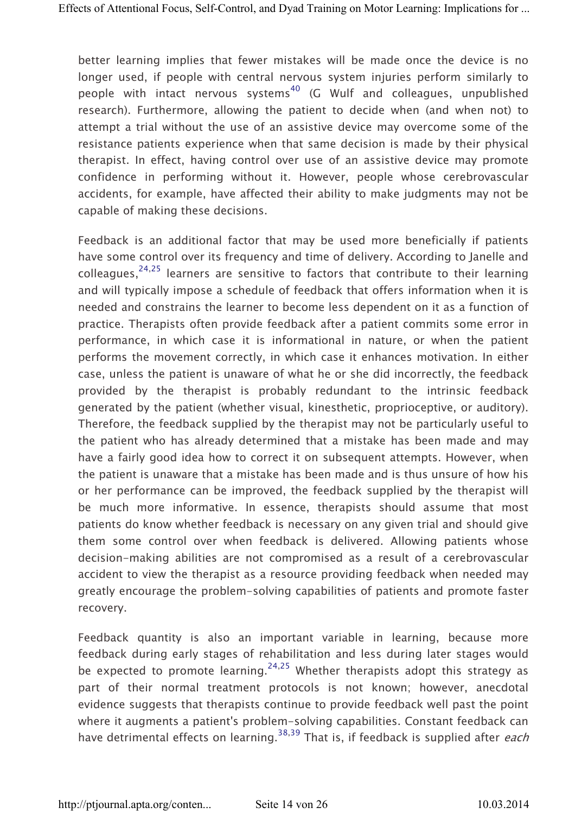better learning implies that fewer mistakes will be made once the device is no longer used, if people with central nervous system injuries perform similarly to people with intact nervous systems<sup>40</sup> (G Wulf and colleagues, unpublished research). Furthermore, allowing the patient to decide when (and when not) to attempt a trial without the use of an assistive device may overcome some of the resistance patients experience when that same decision is made by their physical therapist. In effect, having control over use of an assistive device may promote confidence in performing without it. However, people whose cerebrovascular accidents, for example, have affected their ability to make judgments may not be capable of making these decisions.

Feedback is an additional factor that may be used more beneficially if patients have some control over its frequency and time of delivery. According to Janelle and colleagues,  $24,25$  learners are sensitive to factors that contribute to their learning and will typically impose a schedule of feedback that offers information when it is needed and constrains the learner to become less dependent on it as a function of practice. Therapists often provide feedback after a patient commits some error in performance, in which case it is informational in nature, or when the patient performs the movement correctly, in which case it enhances motivation. In either case, unless the patient is unaware of what he or she did incorrectly, the feedback provided by the therapist is probably redundant to the intrinsic feedback generated by the patient (whether visual, kinesthetic, proprioceptive, or auditory). Therefore, the feedback supplied by the therapist may not be particularly useful to the patient who has already determined that a mistake has been made and may have a fairly good idea how to correct it on subsequent attempts. However, when the patient is unaware that a mistake has been made and is thus unsure of how his or her performance can be improved, the feedback supplied by the therapist will be much more informative. In essence, therapists should assume that most patients do know whether feedback is necessary on any given trial and should give them some control over when feedback is delivered. Allowing patients whose decision-making abilities are not compromised as a result of a cerebrovascular accident to view the therapist as a resource providing feedback when needed may greatly encourage the problem-solving capabilities of patients and promote faster recovery.

Feedback quantity is also an important variable in learning, because more feedback during early stages of rehabilitation and less during later stages would be expected to promote learning.<sup>24,25</sup> Whether therapists adopt this strategy as part of their normal treatment protocols is not known; however, anecdotal evidence suggests that therapists continue to provide feedback well past the point where it augments a patient's problem-solving capabilities. Constant feedback can have detrimental effects on learning.<sup>38,39</sup> That is, if feedback is supplied after *each*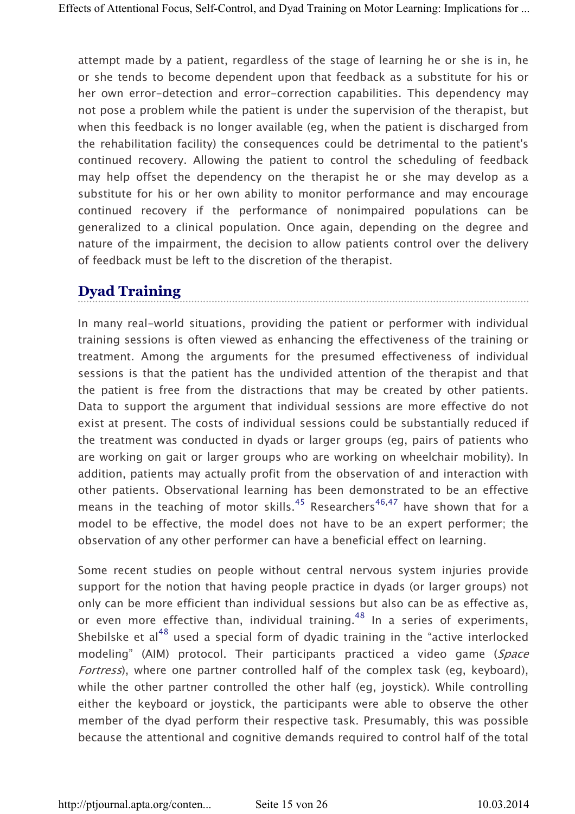attempt made by a patient, regardless of the stage of learning he or she is in, he or she tends to become dependent upon that feedback as a substitute for his or her own error-detection and error-correction capabilities. This dependency may not pose a problem while the patient is under the supervision of the therapist, but when this feedback is no longer available (eg, when the patient is discharged from the rehabilitation facility) the consequences could be detrimental to the patient's continued recovery. Allowing the patient to control the scheduling of feedback may help offset the dependency on the therapist he or she may develop as a substitute for his or her own ability to monitor performance and may encourage continued recovery if the performance of nonimpaired populations can be generalized to a clinical population. Once again, depending on the degree and nature of the impairment, the decision to allow patients control over the delivery of feedback must be left to the discretion of the therapist.

# Dyad Training

In many real-world situations, providing the patient or performer with individual training sessions is often viewed as enhancing the effectiveness of the training or treatment. Among the arguments for the presumed effectiveness of individual sessions is that the patient has the undivided attention of the therapist and that the patient is free from the distractions that may be created by other patients. Data to support the argument that individual sessions are more effective do not exist at present. The costs of individual sessions could be substantially reduced if the treatment was conducted in dyads or larger groups (eg, pairs of patients who are working on gait or larger groups who are working on wheelchair mobility). In addition, patients may actually profit from the observation of and interaction with other patients. Observational learning has been demonstrated to be an effective means in the teaching of motor skills.<sup>45</sup> Researchers<sup>46,47</sup> have shown that for a model to be effective, the model does not have to be an expert performer; the observation of any other performer can have a beneficial effect on learning.

Some recent studies on people without central nervous system injuries provide support for the notion that having people practice in dyads (or larger groups) not only can be more efficient than individual sessions but also can be as effective as, or even more effective than, individual training.<sup>48</sup> In a series of experiments, Shebilske et al<sup>48</sup> used a special form of dyadic training in the "active interlocked modeling" (AIM) protocol. Their participants practiced a video game (Space Fortress), where one partner controlled half of the complex task (eg, keyboard), while the other partner controlled the other half (eg, joystick). While controlling either the keyboard or joystick, the participants were able to observe the other member of the dyad perform their respective task. Presumably, this was possible because the attentional and cognitive demands required to control half of the total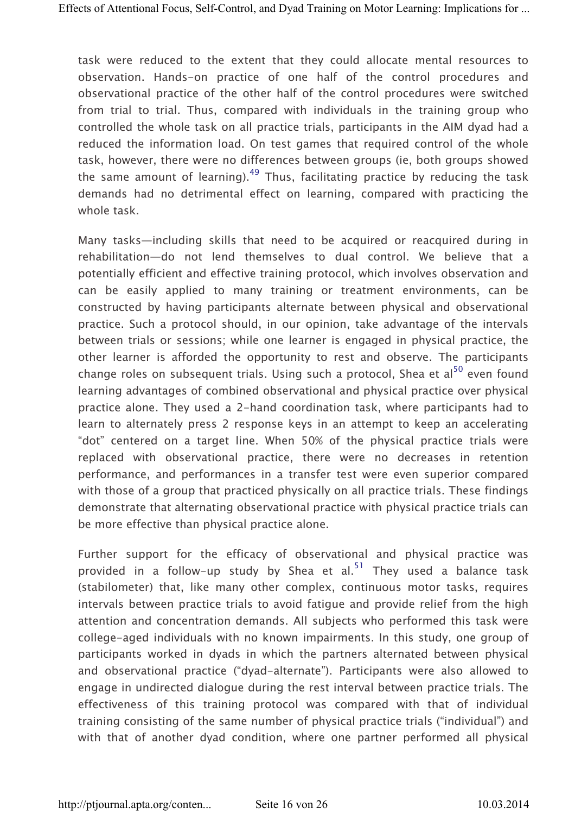task were reduced to the extent that they could allocate mental resources to observation. Hands-on practice of one half of the control procedures and observational practice of the other half of the control procedures were switched from trial to trial. Thus, compared with individuals in the training group who controlled the whole task on all practice trials, participants in the AIM dyad had a reduced the information load. On test games that required control of the whole task, however, there were no differences between groups (ie, both groups showed the same amount of learning).<sup>49</sup> Thus, facilitating practice by reducing the task demands had no detrimental effect on learning, compared with practicing the whole task.

Many tasks—including skills that need to be acquired or reacquired during in rehabilitation—do not lend themselves to dual control. We believe that a potentially efficient and effective training protocol, which involves observation and can be easily applied to many training or treatment environments, can be constructed by having participants alternate between physical and observational practice. Such a protocol should, in our opinion, take advantage of the intervals between trials or sessions; while one learner is engaged in physical practice, the other learner is afforded the opportunity to rest and observe. The participants change roles on subsequent trials. Using such a protocol. Shea et al $^{50}$  even found learning advantages of combined observational and physical practice over physical practice alone. They used a 2-hand coordination task, where participants had to learn to alternately press 2 response keys in an attempt to keep an accelerating "dot" centered on a target line. When 50% of the physical practice trials were replaced with observational practice, there were no decreases in retention performance, and performances in a transfer test were even superior compared with those of a group that practiced physically on all practice trials. These findings demonstrate that alternating observational practice with physical practice trials can be more effective than physical practice alone.

Further support for the efficacy of observational and physical practice was provided in a follow-up study by Shea et al.<sup>51</sup> They used a balance task (stabilometer) that, like many other complex, continuous motor tasks, requires intervals between practice trials to avoid fatigue and provide relief from the high attention and concentration demands. All subjects who performed this task were college-aged individuals with no known impairments. In this study, one group of participants worked in dyads in which the partners alternated between physical and observational practice ("dyad-alternate"). Participants were also allowed to engage in undirected dialogue during the rest interval between practice trials. The effectiveness of this training protocol was compared with that of individual training consisting of the same number of physical practice trials ("individual") and with that of another dyad condition, where one partner performed all physical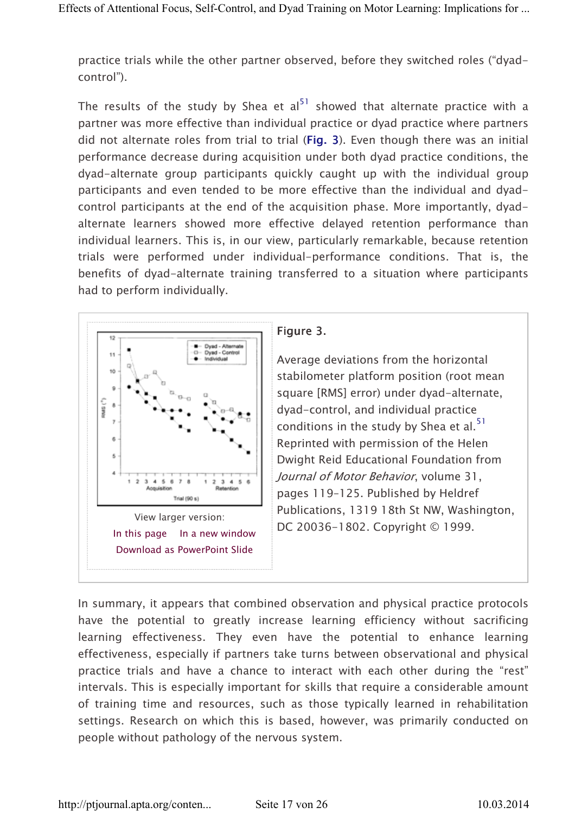practice trials while the other partner observed, before they switched roles ("dyadcontrol").

The results of the study by Shea et al<sup>51</sup> showed that alternate practice with a partner was more effective than individual practice or dyad practice where partners did not alternate roles from trial to trial (Fig. 3). Even though there was an initial performance decrease during acquisition under both dyad practice conditions, the dyad-alternate group participants quickly caught up with the individual group participants and even tended to be more effective than the individual and dyadcontrol participants at the end of the acquisition phase. More importantly, dyadalternate learners showed more effective delayed retention performance than individual learners. This is, in our view, particularly remarkable, because retention trials were performed under individual-performance conditions. That is, the benefits of dyad-alternate training transferred to a situation where participants had to perform individually.



## Figure 3.

Average deviations from the horizontal stabilometer platform position (root mean square [RMS] error) under dyad-alternate, dyad-control, and individual practice conditions in the study by Shea et al. $51$ Reprinted with permission of the Helen Dwight Reid Educational Foundation from Journal of Motor Behavior, volume 31, pages 119–125. Published by Heldref Publications, 1319 18th St NW, Washington, DC 20036-1802. Copyright © 1999.

In summary, it appears that combined observation and physical practice protocols have the potential to greatly increase learning efficiency without sacrificing learning effectiveness. They even have the potential to enhance learning effectiveness, especially if partners take turns between observational and physical practice trials and have a chance to interact with each other during the "rest" intervals. This is especially important for skills that require a considerable amount of training time and resources, such as those typically learned in rehabilitation settings. Research on which this is based, however, was primarily conducted on people without pathology of the nervous system.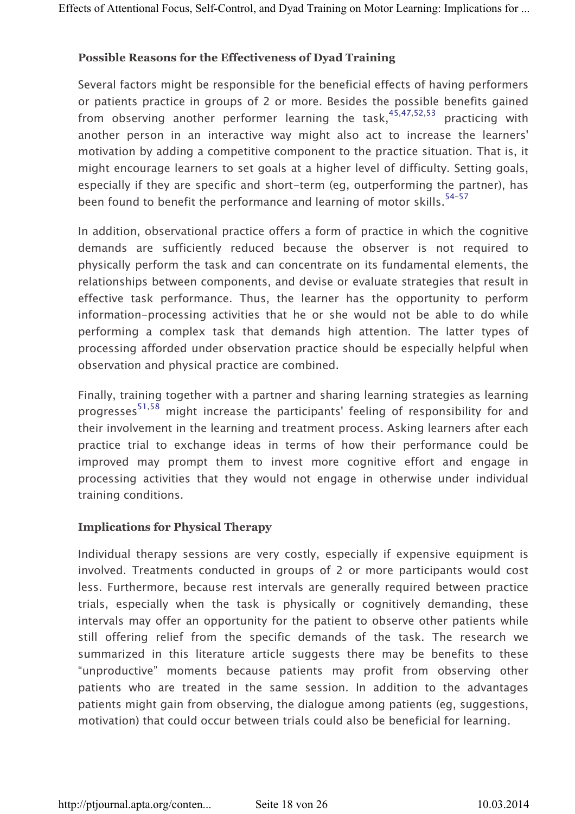#### Possible Reasons for the Effectiveness of Dyad Training

Several factors might be responsible for the beneficial effects of having performers or patients practice in groups of 2 or more. Besides the possible benefits gained from observing another performer learning the task,  $45,47,52,53$  practicing with another person in an interactive way might also act to increase the learners' motivation by adding a competitive component to the practice situation. That is, it might encourage learners to set goals at a higher level of difficulty. Setting goals, especially if they are specific and short-term (eg, outperforming the partner), has been found to benefit the performance and learning of motor skills.<sup>54-57</sup>

In addition, observational practice offers a form of practice in which the cognitive demands are sufficiently reduced because the observer is not required to physically perform the task and can concentrate on its fundamental elements, the relationships between components, and devise or evaluate strategies that result in effective task performance. Thus, the learner has the opportunity to perform information-processing activities that he or she would not be able to do while performing a complex task that demands high attention. The latter types of processing afforded under observation practice should be especially helpful when observation and physical practice are combined.

Finally, training together with a partner and sharing learning strategies as learning progresses<sup>51,58</sup> might increase the participants' feeling of responsibility for and their involvement in the learning and treatment process. Asking learners after each practice trial to exchange ideas in terms of how their performance could be improved may prompt them to invest more cognitive effort and engage in processing activities that they would not engage in otherwise under individual training conditions.

#### Implications for Physical Therapy

Individual therapy sessions are very costly, especially if expensive equipment is involved. Treatments conducted in groups of 2 or more participants would cost less. Furthermore, because rest intervals are generally required between practice trials, especially when the task is physically or cognitively demanding, these intervals may offer an opportunity for the patient to observe other patients while still offering relief from the specific demands of the task. The research we summarized in this literature article suggests there may be benefits to these "unproductive" moments because patients may profit from observing other patients who are treated in the same session. In addition to the advantages patients might gain from observing, the dialogue among patients (eg, suggestions, motivation) that could occur between trials could also be beneficial for learning.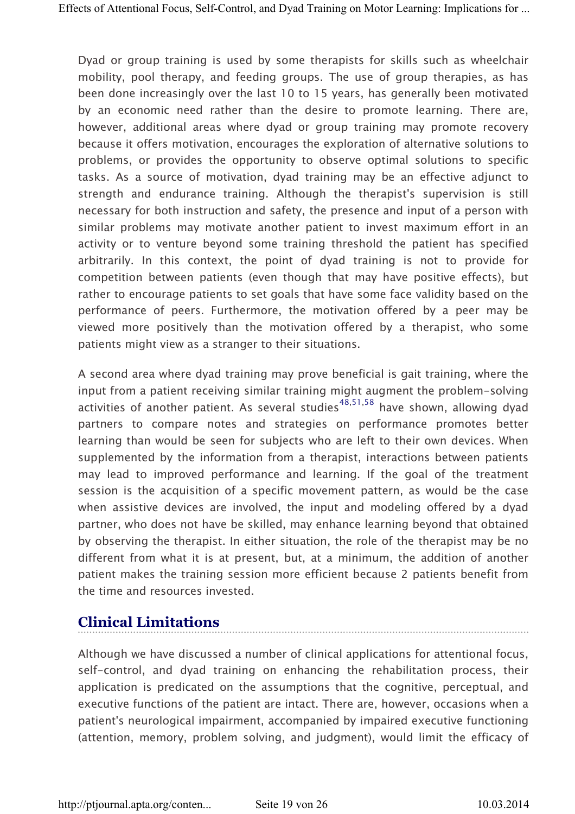Dyad or group training is used by some therapists for skills such as wheelchair mobility, pool therapy, and feeding groups. The use of group therapies, as has been done increasingly over the last 10 to 15 years, has generally been motivated by an economic need rather than the desire to promote learning. There are, however, additional areas where dyad or group training may promote recovery because it offers motivation, encourages the exploration of alternative solutions to problems, or provides the opportunity to observe optimal solutions to specific tasks. As a source of motivation, dyad training may be an effective adjunct to strength and endurance training. Although the therapist's supervision is still necessary for both instruction and safety, the presence and input of a person with similar problems may motivate another patient to invest maximum effort in an activity or to venture beyond some training threshold the patient has specified arbitrarily. In this context, the point of dyad training is not to provide for competition between patients (even though that may have positive effects), but rather to encourage patients to set goals that have some face validity based on the performance of peers. Furthermore, the motivation offered by a peer may be viewed more positively than the motivation offered by a therapist, who some patients might view as a stranger to their situations.

A second area where dyad training may prove beneficial is gait training, where the input from a patient receiving similar training might augment the problem-solving activities of another patient. As several studies<sup>48,51,58</sup> have shown, allowing dyad partners to compare notes and strategies on performance promotes better learning than would be seen for subjects who are left to their own devices. When supplemented by the information from a therapist, interactions between patients may lead to improved performance and learning. If the goal of the treatment session is the acquisition of a specific movement pattern, as would be the case when assistive devices are involved, the input and modeling offered by a dyad partner, who does not have be skilled, may enhance learning beyond that obtained by observing the therapist. In either situation, the role of the therapist may be no different from what it is at present, but, at a minimum, the addition of another patient makes the training session more efficient because 2 patients benefit from the time and resources invested.

# Clinical Limitations

Although we have discussed a number of clinical applications for attentional focus, self-control, and dyad training on enhancing the rehabilitation process, their application is predicated on the assumptions that the cognitive, perceptual, and executive functions of the patient are intact. There are, however, occasions when a patient's neurological impairment, accompanied by impaired executive functioning (attention, memory, problem solving, and judgment), would limit the efficacy of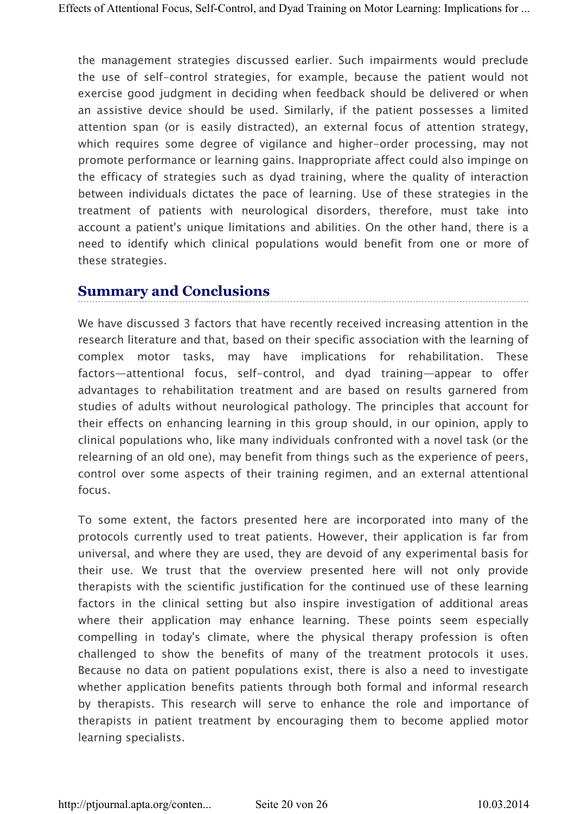the management strategies discussed earlier. Such impairments would preclude the use of self-control strategies, for example, because the patient would not exercise good judgment in deciding when feedback should be delivered or when an assistive device should be used. Similarly, if the patient possesses a limited attention span (or is easily distracted), an external focus of attention strategy, which requires some degree of vigilance and higher-order processing, may not promote performance or learning gains. Inappropriate affect could also impinge on the efficacy of strategies such as dyad training, where the quality of interaction between individuals dictates the pace of learning. Use of these strategies in the treatment of patients with neurological disorders, therefore, must take into account a patient's unique limitations and abilities. On the other hand, there is a need to identify which clinical populations would benefit from one or more of these strategies.

# Summary and Conclusions

We have discussed 3 factors that have recently received increasing attention in the research literature and that, based on their specific association with the learning of complex motor tasks, may have implications for rehabilitation. These factors—attentional focus, self-control, and dyad training—appear to offer advantages to rehabilitation treatment and are based on results garnered from studies of adults without neurological pathology. The principles that account for their effects on enhancing learning in this group should, in our opinion, apply to clinical populations who, like many individuals confronted with a novel task (or the relearning of an old one), may benefit from things such as the experience of peers, control over some aspects of their training regimen, and an external attentional focus.

To some extent, the factors presented here are incorporated into many of the protocols currently used to treat patients. However, their application is far from universal, and where they are used, they are devoid of any experimental basis for their use. We trust that the overview presented here will not only provide therapists with the scientific justification for the continued use of these learning factors in the clinical setting but also inspire investigation of additional areas where their application may enhance learning. These points seem especially compelling in today's climate, where the physical therapy profession is often challenged to show the benefits of many of the treatment protocols it uses. Because no data on patient populations exist, there is also a need to investigate whether application benefits patients through both formal and informal research by therapists. This research will serve to enhance the role and importance of therapists in patient treatment by encouraging them to become applied motor learning specialists.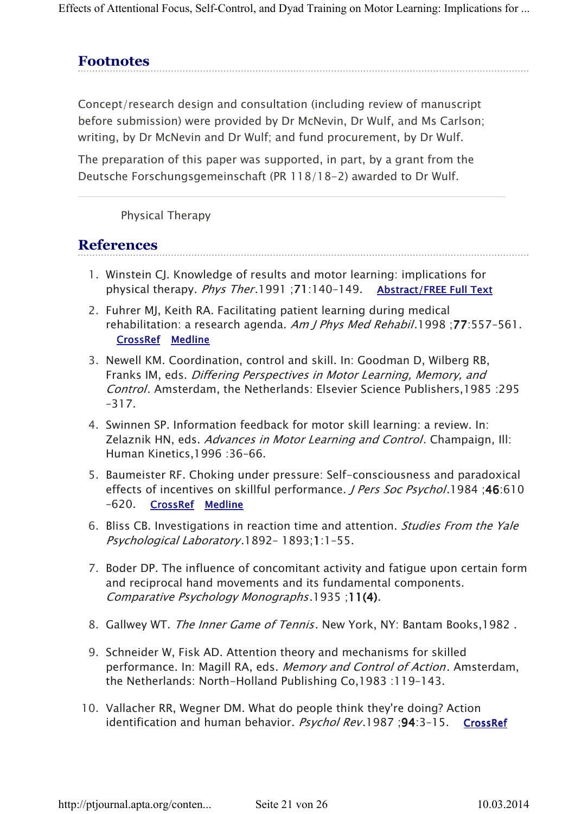Effects of Attentional Focus, Self-Control, and Dyad Training on Motor Learning: Implications for ...

# **Footnotes**

Concept/research design and consultation (including review of manuscript before submission) were provided by Dr McNevin, Dr Wulf, and Ms Carlson; writing, by Dr McNevin and Dr Wulf; and fund procurement, by Dr Wulf.

The preparation of this paper was supported, in part, by a grant from the Deutsche Forschungsgemeinschaft (PR 118/18-2) awarded to Dr Wulf.

Physical Therapy

## **References**

- 1. Winstein CJ. Knowledge of results and motor learning: implications for physical therapy. *Phys Ther*.1991 : 71:140-149. Abstract/ FREE Full Text
- 2. Fuhrer MJ, Keith RA. Facilitating patient learning during medical rehabilitation: a research agenda. Am J Phys Med Rehabil.1998; 77:557-561. CrossRef Medline
- 3. Newell KM. Coordination, control and skill. In: Goodman D, Wilberg RB, Franks IM, eds. Differing Perspectives in Motor Learning, Memory, and Control. Amsterdam, the Netherlands: Elsevier Science Publishers,1985 :295 –317.
- 4. Swinnen SP. Information feedback for motor skill learning: a review. In: Zelaznik HN, eds. Advances in Motor Learning and Control. Champaign, Ill: Human Kinetics,1996 :36–66.
- 5. Baumeister RF. Choking under pressure: Self-consciousness and paradoxical effects of incentives on skillful performance. J Pers Soc Psychol.1984 ;46:610 –620. CrossRef Medline
- 6. Bliss CB. Investigations in reaction time and attention. Studies From the Yale Psychological Laboratory.1892– 1893;1:1–55.
- 7. Boder DP. The influence of concomitant activity and fatigue upon certain form and reciprocal hand movements and its fundamental components. Comparative Psychology Monographs.1935 ;11(4).
- 8. Gallwey WT. The Inner Game of Tennis. New York, NY: Bantam Books, 1982.
- 9. Schneider W, Fisk AD. Attention theory and mechanisms for skilled performance. In: Magill RA, eds. Memory and Control of Action. Amsterdam, the Netherlands: North-Holland Publishing Co,1983 :119–143.
- 10. Vallacher RR, Wegner DM. What do people think they're doing? Action identification and human behavior. Psychol Rev.1987; 94:3-15. CrossRef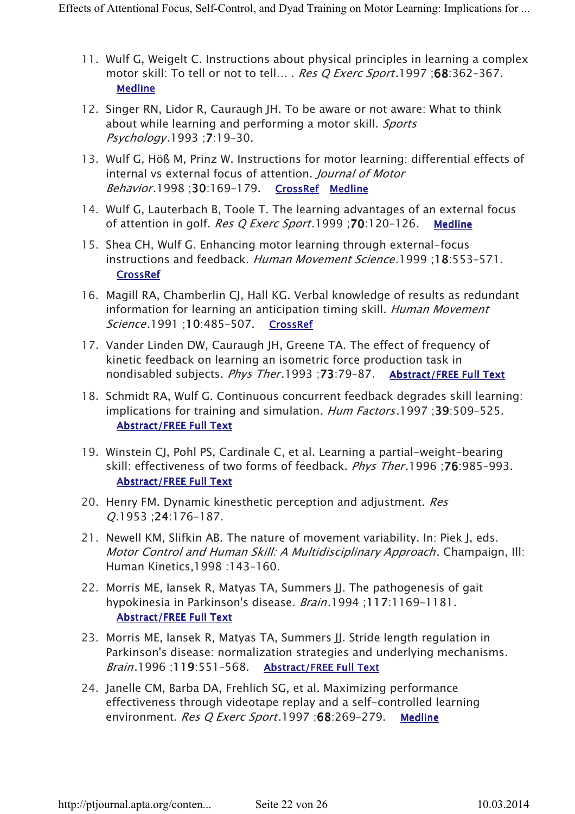- 11. Wulf G, Weigelt C. Instructions about physical principles in learning a complex motor skill: To tell or not to tell... . Res Q Exerc Sport.1997 ;68:362-367. **Medline**
- 12. Singer RN, Lidor R, Cauraugh JH. To be aware or not aware: What to think about while learning and performing a motor skill. Sports Psychology.1993 ;7:19–30.
- 13. Wulf G, Höß M, Prinz W. Instructions for motor learning: differential effects of internal vs external focus of attention. Journal of Motor Behavior.1998;30:169-179. CrossRef Medline
- 14. Wulf G, Lauterbach B, Toole T. The learning advantages of an external focus of attention in golf. Res Q Exerc Sport.1999 ;70:120–126. Medline
- 15. Shea CH, Wulf G. Enhancing motor learning through external-focus instructions and feedback. Human Movement Science.1999 ;18:553–571. CrossRef
- 16. Magill RA, Chamberlin CJ, Hall KG. Verbal knowledge of results as redundant information for learning an anticipation timing skill. Human Movement Science.1991 ;10:485-507. CrossRef
- 17. Vander Linden DW, Cauraugh JH, Greene TA. The effect of frequency of kinetic feedback on learning an isometric force production task in nondisabled subjects. Phys Ther.1993;73:79-87. Abstract/FREE Full Text
- 18. Schmidt RA, Wulf G. Continuous concurrent feedback degrades skill learning: implications for training and simulation. Hum Factors.1997;39:509-525. **Abstract/FREE Full Text**
- 19. Winstein CJ, Pohl PS, Cardinale C, et al. Learning a partial-weight-bearing skill: effectiveness of two forms of feedback. Phys Ther.1996 ;76:985–993. **Abstract/FREE Full Text**
- 20. Henry FM. Dynamic kinesthetic perception and adjustment. Res Q.1953 ;24:176–187.
- 21. Newell KM, Slifkin AB. The nature of movement variability. In: Piek J, eds. Motor Control and Human Skill: A Multidisciplinary Approach. Champaign, Ill: Human Kinetics,1998 :143–160.
- 22. Morris ME, Jansek R, Matyas TA, Summers II. The pathogenesis of gait hypokinesia in Parkinson's disease. Brain.1994 ;117:1169–1181. **Abstract/FREE Full Text**
- 23. Morris ME, Iansek R, Matyas TA, Summers JJ. Stride length regulation in Parkinson's disease: normalization strategies and underlying mechanisms. Brain.1996;119:551-568. Abstract/FREE Full Text
- 24. Janelle CM, Barba DA, Frehlich SG, et al. Maximizing performance effectiveness through videotape replay and a self-controlled learning environment. Res Q Exerc Sport.1997 ;68:269-279. Medline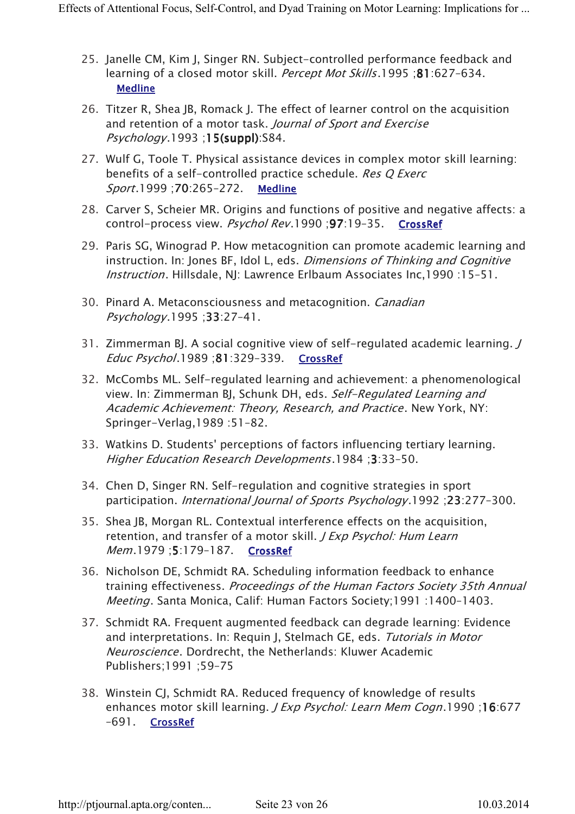- 25. Janelle CM, Kim J, Singer RN. Subject-controlled performance feedback and learning of a closed motor skill. Percept Mot Skills.1995 ;81:627-634. **Medline**
- 26. Titzer R, Shea JB, Romack J. The effect of learner control on the acquisition and retention of a motor task. Journal of Sport and Exercise  $Psychology.1993; 15(suppl):S84.$
- 27. Wulf G, Toole T. Physical assistance devices in complex motor skill learning: benefits of a self-controlled practice schedule. Res Q Exerc Sport.1999 ;70:265-272. Medline
- 28. Carver S, Scheier MR. Origins and functions of positive and negative affects: a control-process view. Psychol Rev.1990 ;97:19–35. CrossRef
- 29. Paris SG, Winograd P. How metacognition can promote academic learning and instruction. In: Jones BF, Idol L, eds. Dimensions of Thinking and Cognitive Instruction. Hillsdale, NJ: Lawrence Erlbaum Associates Inc,1990 :15–51.
- 30. Pinard A. Metaconsciousness and metacognition. Canadian Psychology.1995 ;33:27–41.
- 31. Zimmerman BJ. A social cognitive view of self-regulated academic learning. J Educ Psychol.1989 ;81:329–339. CrossRef
- 32. McCombs ML. Self-regulated learning and achievement: a phenomenological view. In: Zimmerman BJ, Schunk DH, eds. Self-Regulated Learning and Academic Achievement: Theory, Research, and Practice. New York, NY: Springer-Verlag,1989 :51–82.
- 33. Watkins D. Students' perceptions of factors influencing tertiary learning. Higher Education Research Developments.1984 ;3:33–50.
- 34. Chen D, Singer RN. Self-regulation and cognitive strategies in sport participation. International Journal of Sports Psychology.1992 ;23:277–300.
- 35. Shea JB, Morgan RL. Contextual interference effects on the acquisition, retention, and transfer of a motor skill. *J Exp Psychol: Hum Learn* Mem.1979 ;5:179–187. CrossRef
- 36. Nicholson DE, Schmidt RA. Scheduling information feedback to enhance training effectiveness. Proceedings of the Human Factors Society 35th Annual Meeting. Santa Monica, Calif: Human Factors Society;1991 :1400–1403.
- 37. Schmidt RA. Frequent augmented feedback can degrade learning: Evidence and interpretations. In: Requin J, Stelmach GE, eds. Tutorials in Motor Neuroscience. Dordrecht, the Netherlands: Kluwer Academic Publishers;1991 ;59–75
- 38. Winstein CJ, Schmidt RA. Reduced frequency of knowledge of results enhances motor skill learning. J Exp Psychol: Learn Mem Cogn.1990 ;16:677 –691. CrossRef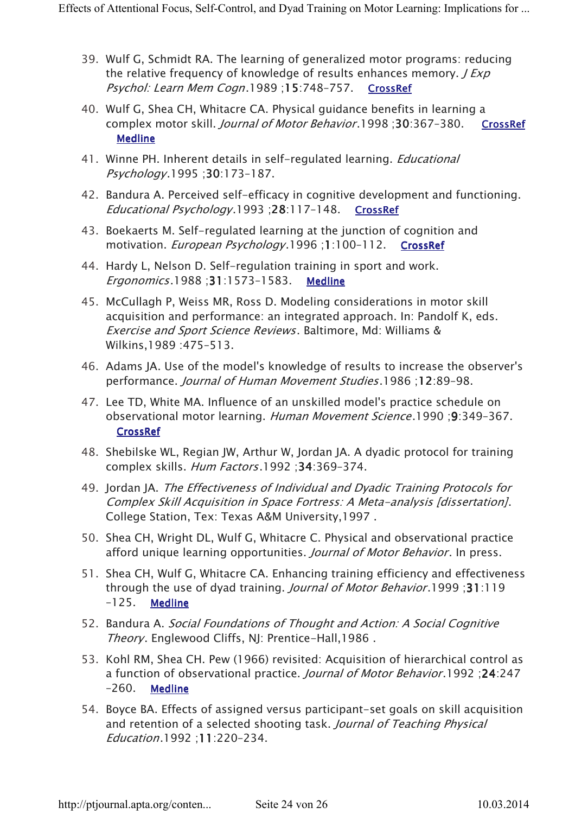- 39. Wulf G, Schmidt RA. The learning of generalized motor programs: reducing the relative frequency of knowledge of results enhances memory.  $J \, Exp$ Psychol: Learn Mem Cogn.1989;15:748-757. CrossRef
- 40. Wulf G, Shea CH, Whitacre CA. Physical guidance benefits in learning a complex motor skill. Journal of Motor Behavior.1998 ;30:367–380. CrossRef Medline
- 41. Winne PH. Inherent details in self-regulated learning. *Educational* Psychology.1995 ;30:173–187.
- 42. Bandura A. Perceived self-efficacy in cognitive development and functioning. Educational Psychology.1993 ;28:117–148. CrossRef
- 43. Boekaerts M. Self-regulated learning at the junction of cognition and motivation. *European Psychology*.1996;1:100-112. CrossRef
- 44. Hardy L, Nelson D. Self-regulation training in sport and work. Ergonomics.1988 ;31:1573–1583. Medline
- 45. McCullagh P, Weiss MR, Ross D. Modeling considerations in motor skill acquisition and performance: an integrated approach. In: Pandolf K, eds. Exercise and Sport Science Reviews. Baltimore, Md: Williams & Wilkins,1989 :475–513.
- 46. Adams JA. Use of the model's knowledge of results to increase the observer's performance. Journal of Human Movement Studies.1986 ;12:89–98.
- 47. Lee TD, White MA. Influence of an unskilled model's practice schedule on observational motor learning. Human Movement Science.1990 ;9:349–367. CrossRef
- 48. Shebilske WL, Regian JW, Arthur W, Jordan JA. A dyadic protocol for training complex skills. Hum Factors.1992 ;34:369–374.
- 49. Jordan JA. The Effectiveness of Individual and Dyadic Training Protocols for Complex Skill Acquisition in Space Fortress: A Meta-analysis [dissertation]. College Station, Tex: Texas A&M University,1997 .
- 50. Shea CH, Wright DL, Wulf G, Whitacre C. Physical and observational practice afford unique learning opportunities. Journal of Motor Behavior. In press.
- 51. Shea CH, Wulf G, Whitacre CA. Enhancing training efficiency and effectiveness through the use of dyad training. Journal of Motor Behavior.1999 ;31:119  $-125.$  Medline
- 52. Bandura A. Social Foundations of Thought and Action: A Social Cognitive Theory. Englewood Cliffs, NJ: Prentice-Hall, 1986.
- 53. Kohl RM, Shea CH. Pew (1966) revisited: Acquisition of hierarchical control as a function of observational practice. Journal of Motor Behavior.1992 ;24:247 –260. Medline
- 54. Boyce BA. Effects of assigned versus participant-set goals on skill acquisition and retention of a selected shooting task. Journal of Teaching Physical Education.1992 ;11:220–234.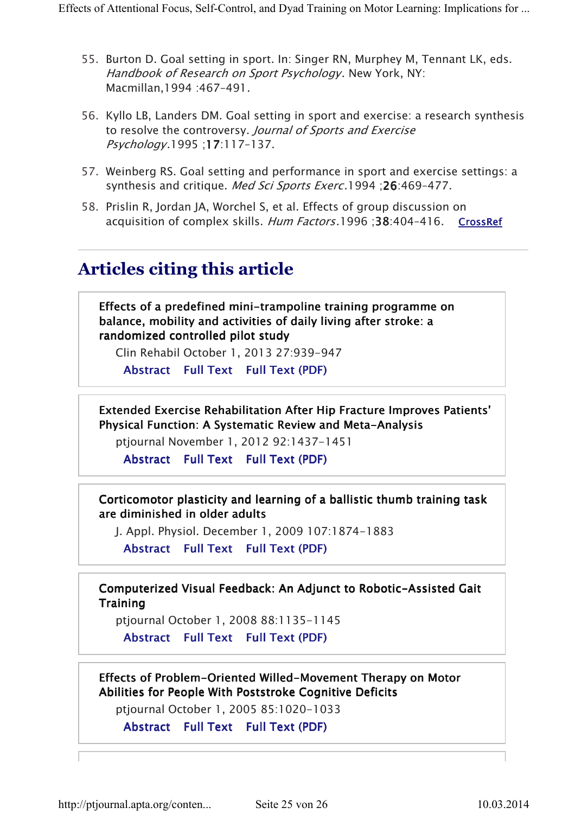- 55. Burton D. Goal setting in sport. In: Singer RN, Murphey M, Tennant LK, eds. Handbook of Research on Sport Psychology. New York, NY: Macmillan,1994 :467–491.
- 56. Kyllo LB, Landers DM. Goal setting in sport and exercise: a research synthesis to resolve the controversy. Journal of Sports and Exercise Psychology.1995 ;17:117–137.
- 57. Weinberg RS. Goal setting and performance in sport and exercise settings: a synthesis and critique. Med Sci Sports Exerc.1994 ;26:469-477.
- 58. Prislin R, Jordan JA, Worchel S, et al. Effects of group discussion on acquisition of complex skills. Hum Factors.1996 :38:404-416. CrossRef

# Articles citing this article

Effects of a predefined mini-trampoline training programme on balance, mobility and activities of daily living after stroke: a randomized controlled pilot study

Clin Rehabil October 1, 2013 27:939-947

Abstract Full Text Full Text (PDF)

Extended Exercise Rehabilitation After Hip Fracture Improves Patients' Physical Function: A Systematic Review and Meta-Analysis

ptjournal November 1, 2012 92:1437-1451

Abstract Full Text Full Text (PDF)

Corticomotor plasticity and learning of a ballistic thumb training task are diminished in older adults

J. Appl. Physiol. December 1, 2009 107:1874-1883

Abstract Full Text Full Text (PDF)

Computerized Visual Feedback: An Adjunct to Robotic-Assisted Gait **Training** 

ptjournal October 1, 2008 88:1135-1145

Abstract Full Text Full Text (PDF)

Effects of Problem-Oriented Willed-Movement Therapy on Motor Abilities for People With Poststroke Cognitive Deficits

ptjournal October 1, 2005 85:1020-1033

Abstract Full Text Full Text (PDF)